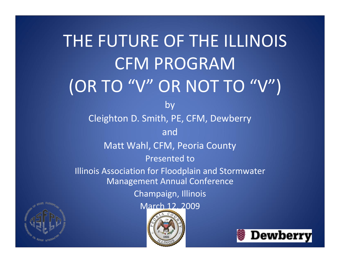#### THE FUTURE OF THE ILLINOIS CFM PROGRAM (OR TO "V" OR NOT TO "V") by Cleighton D. Smith, PE, CFM, Dewberry andMatt Wahl, CFM, Peoria County Presented to Illinois Association for Floodplain and Stormwater Management Annual Conference Champaign, Illinois March 12, 2009Dewberry

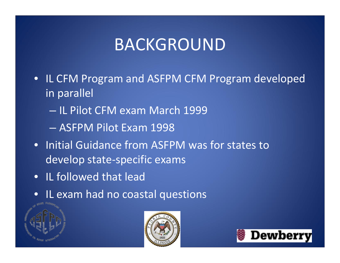## BACKGROUND

- IL CFM Program and ASFPM CFM Program developed in parallel
	- IL Pilot CFM exam March 1999
	- ASFPM Pilot Exam 1998
- Initial Guidance from ASFPM was for states to develop state‐specific exams
- IL followed that lead
- IL exam had no coastal questions





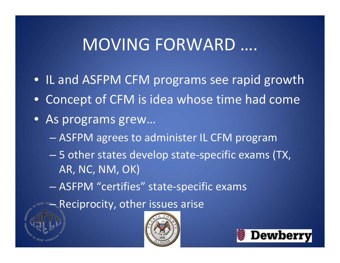#### MOVING FORWARD ….

- IL and ASFPM CFM programs see rapid growth
- Concept of CFM is idea whose time had come
- As programs grew…
	- ASFPM agrees to administer IL CFM program
	- 5 other states develop state‐specific exams (TX, AR, NC, NM, OK)
	- ASFPM "certifies" state‐specific exams

– Reciprocity, other issues arise



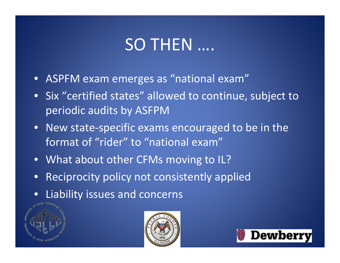# SO THEN ….

- ASPFM exam emerges as "national exam"
- Six "certified states" allowed to continue, subject to periodic audits by ASFPM
- New state‐specific exams encouraged to be in the format of "rider" to "national exam"
- What about other CFMs moving to IL?
- Reciprocity policy not consistently applied
- Liability issues and concerns





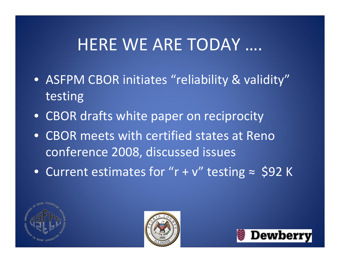### HERE WE ARE TODAY ….

- ASFPM CBOR initiates "reliability & validity" testing
- CBOR drafts white paper on reciprocity
- CBOR meets with certified states at Reno conference 2008, discussed issues
- Current estimates for "r <sup>+</sup> <sup>v</sup>" testing <sup>≈</sup> \$92 <sup>K</sup>





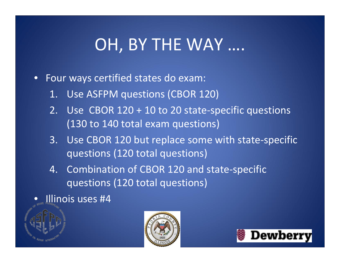# OH, BY THE WAY ….

- Four ways certified states do exam:
	- 1. Use ASFPM questions (CBOR 120)
	- 2. Use CBOR 120 <sup>+</sup> 10 to 20 state‐specific questions (130 to 140 total exam questions)
	- 3. Use CBOR 120 but replace some with state‐specific questions (120 total questions)
	- 4. Combination of CBOR 120 and state‐specific questions (120 total questions)
- Illinois uses #4



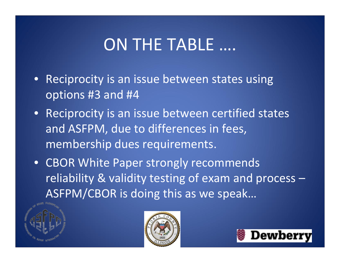## ON THE TABLE ….

- Reciprocity is an issue between states using options #3 and #4
- Reciprocity is an issue between certified states and ASFPM, due to differences in fees, membership dues requirements.
- CBOR White Paper strongly recommends reliability & validity testing of exam and process – ASFPM/CBOR is doing this as we speak…





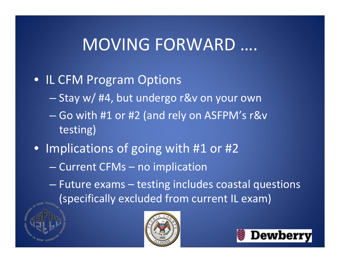#### MOVING FORWARD ….

#### • IL CFM Program Options

- Stay w/ #4, but undergo r&v on your own
- Go with #1 or #2 (and rely on ASFPM's r&v testing)
- Implications of going with #1 or #2
	- Current CFMs no implication

– Future exams – testing includes coastal questions (specifically excluded from current IL exam)



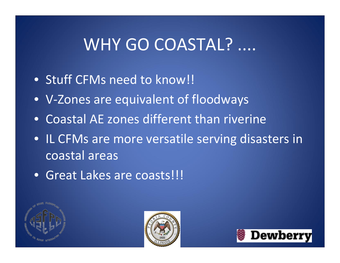### WHY GO COASTAL? ....

- Stuff CFMs need to know!!
- V‐Zones are equivalent of floodways
- Coastal AE zones different than riverine
- IL CFMs are more versatile serving disasters in coastal areas
- Great Lakes are coasts!!!





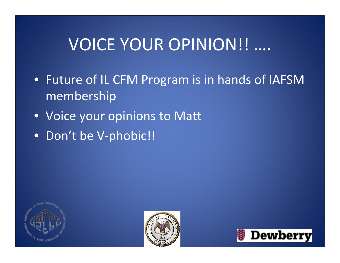# VOICE YOUR OPINION!! ….

- Future of IL CFM Program is in hands of IAFSM membership
- Voice your opinions to Matt
- Don't be V‐phobic!!